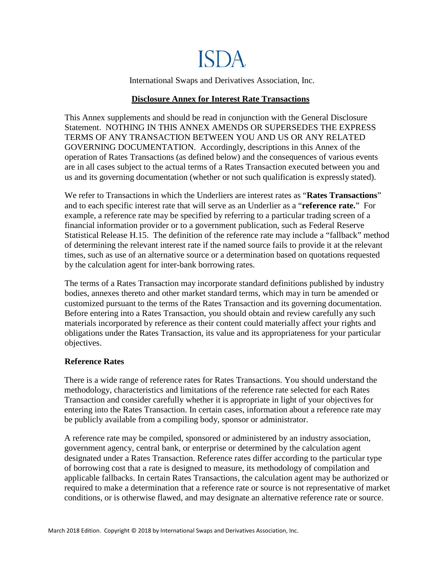# ISDA.

International Swaps and Derivatives Association, Inc.

## **Disclosure Annex for Interest Rate Transactions**

This Annex supplements and should be read in conjunction with the General Disclosure Statement. NOTHING IN THIS ANNEX AMENDS OR SUPERSEDES THE EXPRESS TERMS OF ANY TRANSACTION BETWEEN YOU AND US OR ANY RELATED GOVERNING DOCUMENTATION. Accordingly, descriptions in this Annex of the operation of Rates Transactions (as defined below) and the consequences of various events are in all cases subject to the actual terms of a Rates Transaction executed between you and us and its governing documentation (whether or not such qualification is expressly stated).

We refer to Transactions in which the Underliers are interest rates as "**Rates Transactions**" and to each specific interest rate that will serve as an Underlier as a "**reference rate.**" For example, a reference rate may be specified by referring to a particular trading screen of a financial information provider or to a government publication, such as Federal Reserve Statistical Release H.15. The definition of the reference rate may include a "fallback" method of determining the relevant interest rate if the named source fails to provide it at the relevant times, such as use of an alternative source or a determination based on quotations requested by the calculation agent for inter-bank borrowing rates.

The terms of a Rates Transaction may incorporate standard definitions published by industry bodies, annexes thereto and other market standard terms, which may in turn be amended or customized pursuant to the terms of the Rates Transaction and its governing documentation. Before entering into a Rates Transaction, you should obtain and review carefully any such materials incorporated by reference as their content could materially affect your rights and obligations under the Rates Transaction, its value and its appropriateness for your particular objectives.

## **Reference Rates**

There is a wide range of reference rates for Rates Transactions. You should understand the methodology, characteristics and limitations of the reference rate selected for each Rates Transaction and consider carefully whether it is appropriate in light of your objectives for entering into the Rates Transaction. In certain cases, information about a reference rate may be publicly available from a compiling body, sponsor or administrator.

A reference rate may be compiled, sponsored or administered by an industry association, government agency, central bank, or enterprise or determined by the calculation agent designated under a Rates Transaction. Reference rates differ according to the particular type of borrowing cost that a rate is designed to measure, its methodology of compilation and applicable fallbacks. In certain Rates Transactions, the calculation agent may be authorized or required to make a determination that a reference rate or source is not representative of market conditions, or is otherwise flawed, and may designate an alternative reference rate or source.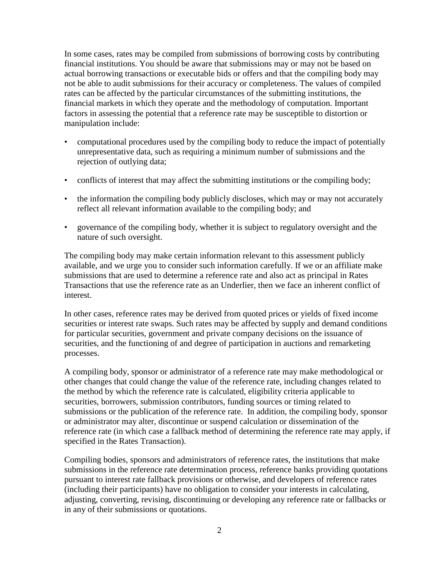In some cases, rates may be compiled from submissions of borrowing costs by contributing financial institutions. You should be aware that submissions may or may not be based on actual borrowing transactions or executable bids or offers and that the compiling body may not be able to audit submissions for their accuracy or completeness. The values of compiled rates can be affected by the particular circumstances of the submitting institutions, the financial markets in which they operate and the methodology of computation. Important factors in assessing the potential that a reference rate may be susceptible to distortion or manipulation include:

- computational procedures used by the compiling body to reduce the impact of potentially unrepresentative data, such as requiring a minimum number of submissions and the rejection of outlying data;
- conflicts of interest that may affect the submitting institutions or the compiling body;
- the information the compiling body publicly discloses, which may or may not accurately reflect all relevant information available to the compiling body; and
- governance of the compiling body, whether it is subject to regulatory oversight and the nature of such oversight.

The compiling body may make certain information relevant to this assessment publicly available, and we urge you to consider such information carefully. If we or an affiliate make submissions that are used to determine a reference rate and also act as principal in Rates Transactions that use the reference rate as an Underlier, then we face an inherent conflict of interest.

In other cases, reference rates may be derived from quoted prices or yields of fixed income securities or interest rate swaps. Such rates may be affected by supply and demand conditions for particular securities, government and private company decisions on the issuance of securities, and the functioning of and degree of participation in auctions and remarketing processes.

A compiling body, sponsor or administrator of a reference rate may make methodological or other changes that could change the value of the reference rate, including changes related to the method by which the reference rate is calculated, eligibility criteria applicable to securities, borrowers, submission contributors, funding sources or timing related to submissions or the publication of the reference rate. In addition, the compiling body, sponsor or administrator may alter, discontinue or suspend calculation or dissemination of the reference rate (in which case a fallback method of determining the reference rate may apply, if specified in the Rates Transaction).

Compiling bodies, sponsors and administrators of reference rates, the institutions that make submissions in the reference rate determination process, reference banks providing quotations pursuant to interest rate fallback provisions or otherwise, and developers of reference rates (including their participants) have no obligation to consider your interests in calculating, adjusting, converting, revising, discontinuing or developing any reference rate or fallbacks or in any of their submissions or quotations.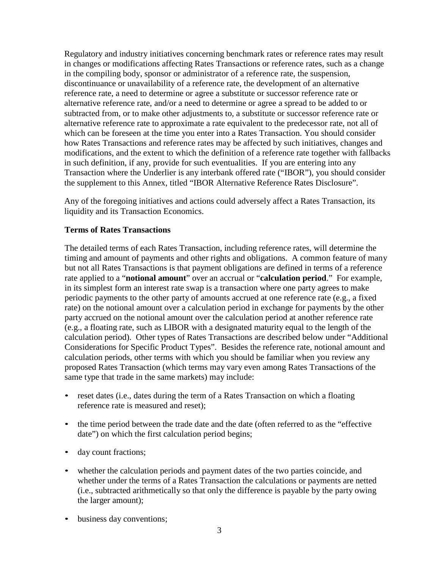Regulatory and industry initiatives concerning benchmark rates or reference rates may result in changes or modifications affecting Rates Transactions or reference rates, such as a change in the compiling body, sponsor or administrator of a reference rate, the suspension, discontinuance or unavailability of a reference rate, the development of an alternative reference rate, a need to determine or agree a substitute or successor reference rate or alternative reference rate, and/or a need to determine or agree a spread to be added to or subtracted from, or to make other adjustments to, a substitute or successor reference rate or alternative reference rate to approximate a rate equivalent to the predecessor rate, not all of which can be foreseen at the time you enter into a Rates Transaction. You should consider how Rates Transactions and reference rates may be affected by such initiatives, changes and modifications, and the extent to which the definition of a reference rate together with fallbacks in such definition, if any, provide for such eventualities. If you are entering into any Transaction where the Underlier is any interbank offered rate ("IBOR"), you should consider the supplement to this Annex, titled "IBOR Alternative Reference Rates Disclosure".

Any of the foregoing initiatives and actions could adversely affect a Rates Transaction, its liquidity and its Transaction Economics.

## **Terms of Rates Transactions**

The detailed terms of each Rates Transaction, including reference rates, will determine the timing and amount of payments and other rights and obligations. A common feature of many but not all Rates Transactions is that payment obligations are defined in terms of a reference rate applied to a "**notional amount**" over an accrual or "**calculation period**." For example, in its simplest form an interest rate swap is a transaction where one party agrees to make periodic payments to the other party of amounts accrued at one reference rate (e.g., a fixed rate) on the notional amount over a calculation period in exchange for payments by the other party accrued on the notional amount over the calculation period at another reference rate (e.g., a floating rate, such as LIBOR with a designated maturity equal to the length of the calculation period). Other types of Rates Transactions are described below under "Additional Considerations for Specific Product Types". Besides the reference rate, notional amount and calculation periods, other terms with which you should be familiar when you review any proposed Rates Transaction (which terms may vary even among Rates Transactions of the same type that trade in the same markets) may include:

- reset dates (i.e., dates during the term of a Rates Transaction on which a floating reference rate is measured and reset);
- the time period between the trade date and the date (often referred to as the "effective" date") on which the first calculation period begins;
- day count fractions;
- whether the calculation periods and payment dates of the two parties coincide, and whether under the terms of a Rates Transaction the calculations or payments are netted (i.e., subtracted arithmetically so that only the difference is payable by the party owing the larger amount);
- business day conventions;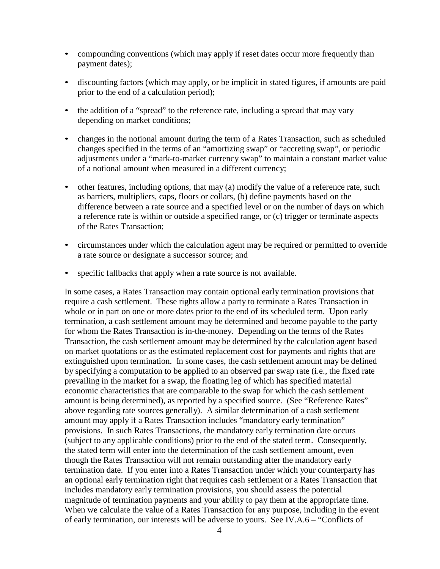- compounding conventions (which may apply if reset dates occur more frequently than payment dates);
- discounting factors (which may apply, or be implicit in stated figures, if amounts are paid prior to the end of a calculation period);
- the addition of a "spread" to the reference rate, including a spread that may vary depending on market conditions;
- changes in the notional amount during the term of a Rates Transaction, such as scheduled changes specified in the terms of an "amortizing swap" or "accreting swap", or periodic adjustments under a "mark-to-market currency swap" to maintain a constant market value of a notional amount when measured in a different currency;
- other features, including options, that may (a) modify the value of a reference rate, such as barriers, multipliers, caps, floors or collars, (b) define payments based on the difference between a rate source and a specified level or on the number of days on which a reference rate is within or outside a specified range, or (c) trigger or terminate aspects of the Rates Transaction;
- circumstances under which the calculation agent may be required or permitted to override a rate source or designate a successor source; and
- specific fallbacks that apply when a rate source is not available.

In some cases, a Rates Transaction may contain optional early termination provisions that require a cash settlement. These rights allow a party to terminate a Rates Transaction in whole or in part on one or more dates prior to the end of its scheduled term. Upon early termination, a cash settlement amount may be determined and become payable to the party for whom the Rates Transaction is in-the-money. Depending on the terms of the Rates Transaction, the cash settlement amount may be determined by the calculation agent based on market quotations or as the estimated replacement cost for payments and rights that are extinguished upon termination. In some cases, the cash settlement amount may be defined by specifying a computation to be applied to an observed par swap rate (i.e., the fixed rate prevailing in the market for a swap, the floating leg of which has specified material economic characteristics that are comparable to the swap for which the cash settlement amount is being determined), as reported by a specified source. (See "Reference Rates" above regarding rate sources generally). A similar determination of a cash settlement amount may apply if a Rates Transaction includes "mandatory early termination" provisions. In such Rates Transactions, the mandatory early termination date occurs (subject to any applicable conditions) prior to the end of the stated term. Consequently, the stated term will enter into the determination of the cash settlement amount, even though the Rates Transaction will not remain outstanding after the mandatory early termination date. If you enter into a Rates Transaction under which your counterparty has an optional early termination right that requires cash settlement or a Rates Transaction that includes mandatory early termination provisions, you should assess the potential magnitude of termination payments and your ability to pay them at the appropriate time. When we calculate the value of a Rates Transaction for any purpose, including in the event of early termination, our interests will be adverse to yours. See IV.A.6 – "Conflicts of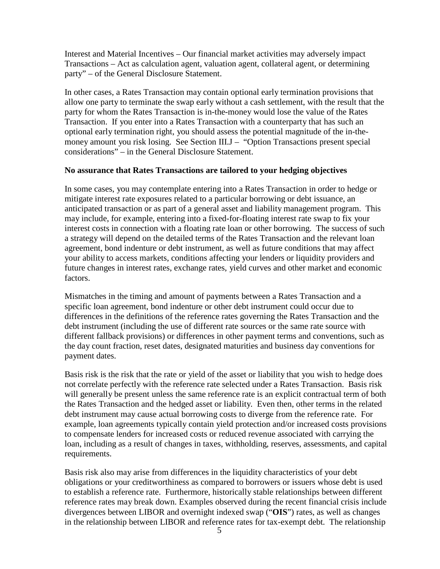Interest and Material Incentives – Our financial market activities may adversely impact Transactions – Act as calculation agent, valuation agent, collateral agent, or determining party" – of the General Disclosure Statement.

In other cases, a Rates Transaction may contain optional early termination provisions that allow one party to terminate the swap early without a cash settlement, with the result that the party for whom the Rates Transaction is in-the-money would lose the value of the Rates Transaction. If you enter into a Rates Transaction with a counterparty that has such an optional early termination right, you should assess the potential magnitude of the in-themoney amount you risk losing. See Section III.J – "Option Transactions present special considerations" – in the General Disclosure Statement.

## **No assurance that Rates Transactions are tailored to your hedging objectives**

In some cases, you may contemplate entering into a Rates Transaction in order to hedge or mitigate interest rate exposures related to a particular borrowing or debt issuance, an anticipated transaction or as part of a general asset and liability management program. This may include, for example, entering into a fixed-for-floating interest rate swap to fix your interest costs in connection with a floating rate loan or other borrowing. The success of such a strategy will depend on the detailed terms of the Rates Transaction and the relevant loan agreement, bond indenture or debt instrument, as well as future conditions that may affect your ability to access markets, conditions affecting your lenders or liquidity providers and future changes in interest rates, exchange rates, yield curves and other market and economic factors.

Mismatches in the timing and amount of payments between a Rates Transaction and a specific loan agreement, bond indenture or other debt instrument could occur due to differences in the definitions of the reference rates governing the Rates Transaction and the debt instrument (including the use of different rate sources or the same rate source with different fallback provisions) or differences in other payment terms and conventions, such as the day count fraction, reset dates, designated maturities and business day conventions for payment dates.

Basis risk is the risk that the rate or yield of the asset or liability that you wish to hedge does not correlate perfectly with the reference rate selected under a Rates Transaction. Basis risk will generally be present unless the same reference rate is an explicit contractual term of both the Rates Transaction and the hedged asset or liability. Even then, other terms in the related debt instrument may cause actual borrowing costs to diverge from the reference rate. For example, loan agreements typically contain yield protection and/or increased costs provisions to compensate lenders for increased costs or reduced revenue associated with carrying the loan, including as a result of changes in taxes, withholding, reserves, assessments, and capital requirements.

Basis risk also may arise from differences in the liquidity characteristics of your debt obligations or your creditworthiness as compared to borrowers or issuers whose debt is used to establish a reference rate. Furthermore, historically stable relationships between different reference rates may break down. Examples observed during the recent financial crisis include divergences between LIBOR and overnight indexed swap ("**OIS**") rates, as well as changes in the relationship between LIBOR and reference rates for tax-exempt debt. The relationship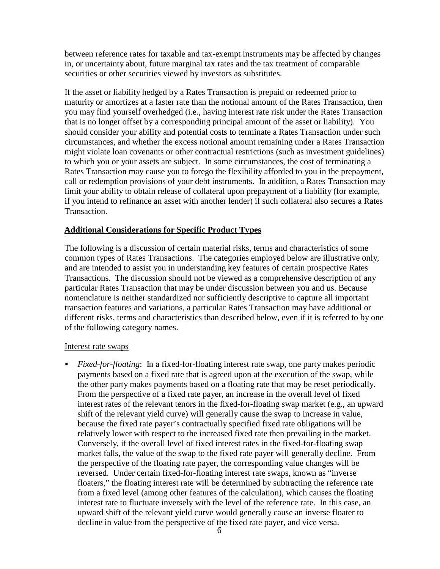between reference rates for taxable and tax-exempt instruments may be affected by changes in, or uncertainty about, future marginal tax rates and the tax treatment of comparable securities or other securities viewed by investors as substitutes.

If the asset or liability hedged by a Rates Transaction is prepaid or redeemed prior to maturity or amortizes at a faster rate than the notional amount of the Rates Transaction, then you may find yourself overhedged (i.e., having interest rate risk under the Rates Transaction that is no longer offset by a corresponding principal amount of the asset or liability). You should consider your ability and potential costs to terminate a Rates Transaction under such circumstances, and whether the excess notional amount remaining under a Rates Transaction might violate loan covenants or other contractual restrictions (such as investment guidelines) to which you or your assets are subject. In some circumstances, the cost of terminating a Rates Transaction may cause you to forego the flexibility afforded to you in the prepayment, call or redemption provisions of your debt instruments. In addition, a Rates Transaction may limit your ability to obtain release of collateral upon prepayment of a liability (for example, if you intend to refinance an asset with another lender) if such collateral also secures a Rates Transaction.

## **Additional Considerations for Specific Product Types**

The following is a discussion of certain material risks, terms and characteristics of some common types of Rates Transactions. The categories employed below are illustrative only, and are intended to assist you in understanding key features of certain prospective Rates Transactions. The discussion should not be viewed as a comprehensive description of any particular Rates Transaction that may be under discussion between you and us. Because nomenclature is neither standardized nor sufficiently descriptive to capture all important transaction features and variations, a particular Rates Transaction may have additional or different risks, terms and characteristics than described below, even if it is referred to by one of the following category names.

#### Interest rate swaps

• *Fixed-for-floating*: In a fixed-for-floating interest rate swap, one party makes periodic payments based on a fixed rate that is agreed upon at the execution of the swap, while the other party makes payments based on a floating rate that may be reset periodically. From the perspective of a fixed rate payer, an increase in the overall level of fixed interest rates of the relevant tenors in the fixed-for-floating swap market (e.g., an upward shift of the relevant yield curve) will generally cause the swap to increase in value, because the fixed rate payer's contractually specified fixed rate obligations will be relatively lower with respect to the increased fixed rate then prevailing in the market. Conversely, if the overall level of fixed interest rates in the fixed-for-floating swap market falls, the value of the swap to the fixed rate payer will generally decline. From the perspective of the floating rate payer, the corresponding value changes will be reversed. Under certain fixed-for-floating interest rate swaps, known as "inverse floaters," the floating interest rate will be determined by subtracting the reference rate from a fixed level (among other features of the calculation), which causes the floating interest rate to fluctuate inversely with the level of the reference rate. In this case, an upward shift of the relevant yield curve would generally cause an inverse floater to decline in value from the perspective of the fixed rate payer, and vice versa.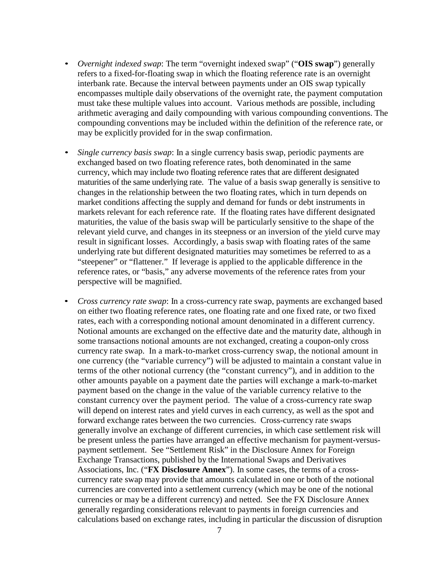- *Overnight indexed swap*: The term "overnight indexed swap" ("**OIS swap**") generally refers to a fixed-for-floating swap in which the floating reference rate is an overnight interbank rate. Because the interval between payments under an OIS swap typically encompasses multiple daily observations of the overnight rate, the payment computation must take these multiple values into account. Various methods are possible, including arithmetic averaging and daily compounding with various compounding conventions. The compounding conventions may be included within the definition of the reference rate, or may be explicitly provided for in the swap confirmation.
- *Single currency basis swap*: In a single currency basis swap, periodic payments are exchanged based on two floating reference rates, both denominated in the same currency, which may include two floating reference rates that are different designated maturities of the same underlying rate. The value of a basis swap generally is sensitive to changes in the relationship between the two floating rates, which in turn depends on market conditions affecting the supply and demand for funds or debt instruments in markets relevant for each reference rate. If the floating rates have different designated maturities, the value of the basis swap will be particularly sensitive to the shape of the relevant yield curve, and changes in its steepness or an inversion of the yield curve may result in significant losses. Accordingly, a basis swap with floating rates of the same underlying rate but different designated maturities may sometimes be referred to as a "steepener" or "flattener." If leverage is applied to the applicable difference in the reference rates, or "basis," any adverse movements of the reference rates from your perspective will be magnified.
- *Cross currency rate swap*: In a cross-currency rate swap, payments are exchanged based on either two floating reference rates, one floating rate and one fixed rate, or two fixed rates, each with a corresponding notional amount denominated in a different currency. Notional amounts are exchanged on the effective date and the maturity date, although in some transactions notional amounts are not exchanged, creating a coupon-only cross currency rate swap. In a mark-to-market cross-currency swap, the notional amount in one currency (the "variable currency") will be adjusted to maintain a constant value in terms of the other notional currency (the "constant currency"), and in addition to the other amounts payable on a payment date the parties will exchange a mark-to-market payment based on the change in the value of the variable currency relative to the constant currency over the payment period. The value of a cross-currency rate swap will depend on interest rates and yield curves in each currency, as well as the spot and forward exchange rates between the two currencies. Cross-currency rate swaps generally involve an exchange of different currencies, in which case settlement risk will be present unless the parties have arranged an effective mechanism for payment-versuspayment settlement. See "Settlement Risk" in the Disclosure Annex for Foreign Exchange Transactions, published by the International Swaps and Derivatives Associations, Inc. ("**FX Disclosure Annex**"). In some cases, the terms of a crosscurrency rate swap may provide that amounts calculated in one or both of the notional currencies are converted into a settlement currency (which may be one of the notional currencies or may be a different currency) and netted. See the FX Disclosure Annex generally regarding considerations relevant to payments in foreign currencies and calculations based on exchange rates, including in particular the discussion of disruption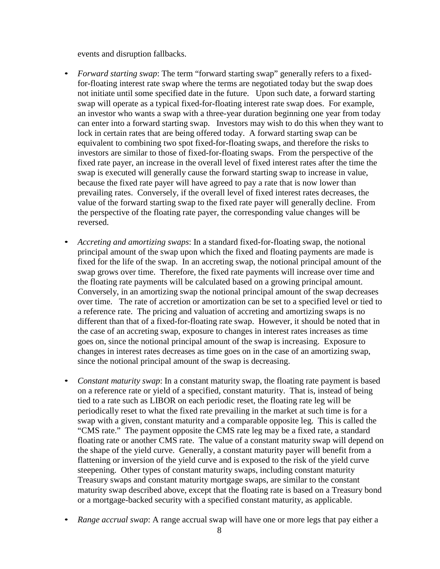events and disruption fallbacks.

- *Forward starting swap*: The term "forward starting swap" generally refers to a fixedfor-floating interest rate swap where the terms are negotiated today but the swap does not initiate until some specified date in the future. Upon such date, a forward starting swap will operate as a typical fixed-for-floating interest rate swap does. For example, an investor who wants a swap with a three-year duration beginning one year from today can enter into a forward starting swap. Investors may wish to do this when they want to lock in certain rates that are being offered today. A forward starting swap can be equivalent to combining two spot fixed-for-floating swaps, and therefore the risks to investors are similar to those of fixed-for-floating swaps. From the perspective of the fixed rate payer, an increase in the overall level of fixed interest rates after the time the swap is executed will generally cause the forward starting swap to increase in value, because the fixed rate payer will have agreed to pay a rate that is now lower than prevailing rates. Conversely, if the overall level of fixed interest rates decreases, the value of the forward starting swap to the fixed rate payer will generally decline. From the perspective of the floating rate payer, the corresponding value changes will be reversed.
- *Accreting and amortizing swaps*: In a standard fixed-for-floating swap, the notional principal amount of the swap upon which the fixed and floating payments are made is fixed for the life of the swap. In an accreting swap, the notional principal amount of the swap grows over time. Therefore, the fixed rate payments will increase over time and the floating rate payments will be calculated based on a growing principal amount. Conversely, in an amortizing swap the notional principal amount of the swap decreases over time. The rate of accretion or amortization can be set to a specified level or tied to a reference rate. The pricing and valuation of accreting and amortizing swaps is no different than that of a fixed-for-floating rate swap. However, it should be noted that in the case of an accreting swap, exposure to changes in interest rates increases as time goes on, since the notional principal amount of the swap is increasing. Exposure to changes in interest rates decreases as time goes on in the case of an amortizing swap, since the notional principal amount of the swap is decreasing.
- *Constant maturity swap*: In a constant maturity swap, the floating rate payment is based on a reference rate or yield of a specified, constant maturity. That is, instead of being tied to a rate such as LIBOR on each periodic reset, the floating rate leg will be periodically reset to what the fixed rate prevailing in the market at such time is for a swap with a given, constant maturity and a comparable opposite leg. This is called the "CMS rate." The payment opposite the CMS rate leg may be a fixed rate, a standard floating rate or another CMS rate. The value of a constant maturity swap will depend on the shape of the yield curve. Generally, a constant maturity payer will benefit from a flattening or inversion of the yield curve and is exposed to the risk of the yield curve steepening. Other types of constant maturity swaps, including constant maturity Treasury swaps and constant maturity mortgage swaps, are similar to the constant maturity swap described above, except that the floating rate is based on a Treasury bond or a mortgage-backed security with a specified constant maturity, as applicable.
- *Range accrual swap*: A range accrual swap will have one or more legs that pay either a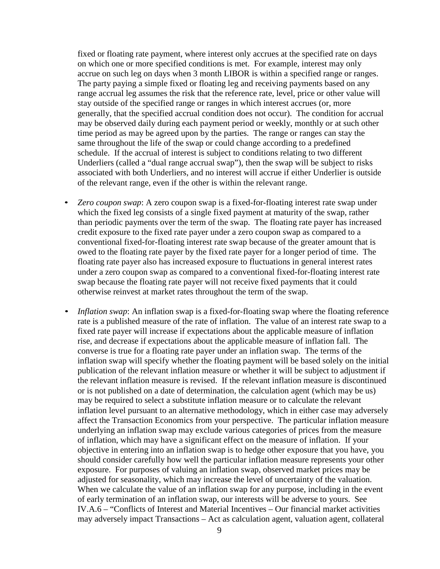fixed or floating rate payment, where interest only accrues at the specified rate on days on which one or more specified conditions is met. For example, interest may only accrue on such leg on days when 3 month LIBOR is within a specified range or ranges. The party paying a simple fixed or floating leg and receiving payments based on any range accrual leg assumes the risk that the reference rate, level, price or other value will stay outside of the specified range or ranges in which interest accrues (or, more generally, that the specified accrual condition does not occur). The condition for accrual may be observed daily during each payment period or weekly, monthly or at such other time period as may be agreed upon by the parties. The range or ranges can stay the same throughout the life of the swap or could change according to a predefined schedule. If the accrual of interest is subject to conditions relating to two different Underliers (called a "dual range accrual swap"), then the swap will be subject to risks associated with both Underliers, and no interest will accrue if either Underlier is outside of the relevant range, even if the other is within the relevant range.

- *Zero coupon swap*: A zero coupon swap is a fixed-for-floating interest rate swap under which the fixed leg consists of a single fixed payment at maturity of the swap, rather than periodic payments over the term of the swap. The floating rate payer has increased credit exposure to the fixed rate payer under a zero coupon swap as compared to a conventional fixed-for-floating interest rate swap because of the greater amount that is owed to the floating rate payer by the fixed rate payer for a longer period of time. The floating rate payer also has increased exposure to fluctuations in general interest rates under a zero coupon swap as compared to a conventional fixed-for-floating interest rate swap because the floating rate payer will not receive fixed payments that it could otherwise reinvest at market rates throughout the term of the swap.
- *Inflation swap*: An inflation swap is a fixed-for-floating swap where the floating reference rate is a published measure of the rate of inflation. The value of an interest rate swap to a fixed rate payer will increase if expectations about the applicable measure of inflation rise, and decrease if expectations about the applicable measure of inflation fall. The converse is true for a floating rate payer under an inflation swap. The terms of the inflation swap will specify whether the floating payment will be based solely on the initial publication of the relevant inflation measure or whether it will be subject to adjustment if the relevant inflation measure is revised. If the relevant inflation measure is discontinued or is not published on a date of determination, the calculation agent (which may be us) may be required to select a substitute inflation measure or to calculate the relevant inflation level pursuant to an alternative methodology, which in either case may adversely affect the Transaction Economics from your perspective. The particular inflation measure underlying an inflation swap may exclude various categories of prices from the measure of inflation, which may have a significant effect on the measure of inflation. If your objective in entering into an inflation swap is to hedge other exposure that you have, you should consider carefully how well the particular inflation measure represents your other exposure. For purposes of valuing an inflation swap, observed market prices may be adjusted for seasonality, which may increase the level of uncertainty of the valuation. When we calculate the value of an inflation swap for any purpose, including in the event of early termination of an inflation swap, our interests will be adverse to yours. See IV.A.6 – "Conflicts of Interest and Material Incentives – Our financial market activities may adversely impact Transactions – Act as calculation agent, valuation agent, collateral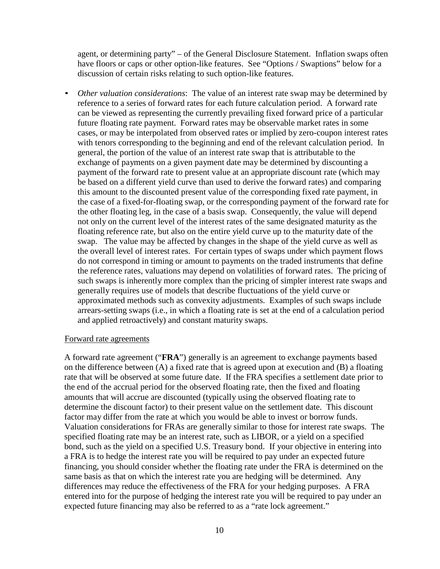agent, or determining party" – of the General Disclosure Statement. Inflation swaps often have floors or caps or other option-like features. See "Options / Swaptions" below for a discussion of certain risks relating to such option-like features.

• *Other valuation considerations*: The value of an interest rate swap may be determined by reference to a series of forward rates for each future calculation period. A forward rate can be viewed as representing the currently prevailing fixed forward price of a particular future floating rate payment. Forward rates may be observable market rates in some cases, or may be interpolated from observed rates or implied by zero-coupon interest rates with tenors corresponding to the beginning and end of the relevant calculation period. In general, the portion of the value of an interest rate swap that is attributable to the exchange of payments on a given payment date may be determined by discounting a payment of the forward rate to present value at an appropriate discount rate (which may be based on a different yield curve than used to derive the forward rates) and comparing this amount to the discounted present value of the corresponding fixed rate payment, in the case of a fixed-for-floating swap, or the corresponding payment of the forward rate for the other floating leg, in the case of a basis swap. Consequently, the value will depend not only on the current level of the interest rates of the same designated maturity as the floating reference rate, but also on the entire yield curve up to the maturity date of the swap. The value may be affected by changes in the shape of the yield curve as well as the overall level of interest rates. For certain types of swaps under which payment flows do not correspond in timing or amount to payments on the traded instruments that define the reference rates, valuations may depend on volatilities of forward rates. The pricing of such swaps is inherently more complex than the pricing of simpler interest rate swaps and generally requires use of models that describe fluctuations of the yield curve or approximated methods such as convexity adjustments. Examples of such swaps include arrears-setting swaps (i.e., in which a floating rate is set at the end of a calculation period and applied retroactively) and constant maturity swaps.

#### Forward rate agreements

A forward rate agreement ("**FRA**") generally is an agreement to exchange payments based on the difference between (A) a fixed rate that is agreed upon at execution and (B) a floating rate that will be observed at some future date. If the FRA specifies a settlement date prior to the end of the accrual period for the observed floating rate, then the fixed and floating amounts that will accrue are discounted (typically using the observed floating rate to determine the discount factor) to their present value on the settlement date. This discount factor may differ from the rate at which you would be able to invest or borrow funds. Valuation considerations for FRAs are generally similar to those for interest rate swaps. The specified floating rate may be an interest rate, such as LIBOR, or a yield on a specified bond, such as the yield on a specified U.S. Treasury bond. If your objective in entering into a FRA is to hedge the interest rate you will be required to pay under an expected future financing, you should consider whether the floating rate under the FRA is determined on the same basis as that on which the interest rate you are hedging will be determined. Any differences may reduce the effectiveness of the FRA for your hedging purposes. A FRA entered into for the purpose of hedging the interest rate you will be required to pay under an expected future financing may also be referred to as a "rate lock agreement."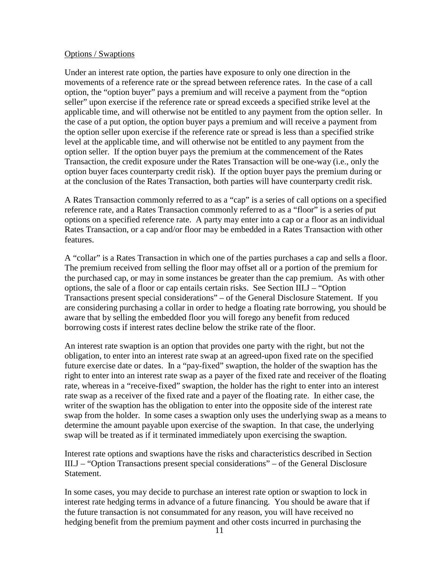#### Options / Swaptions

Under an interest rate option, the parties have exposure to only one direction in the movements of a reference rate or the spread between reference rates. In the case of a call option, the "option buyer" pays a premium and will receive a payment from the "option seller" upon exercise if the reference rate or spread exceeds a specified strike level at the applicable time, and will otherwise not be entitled to any payment from the option seller. In the case of a put option, the option buyer pays a premium and will receive a payment from the option seller upon exercise if the reference rate or spread is less than a specified strike level at the applicable time, and will otherwise not be entitled to any payment from the option seller. If the option buyer pays the premium at the commencement of the Rates Transaction, the credit exposure under the Rates Transaction will be one-way (i.e., only the option buyer faces counterparty credit risk). If the option buyer pays the premium during or at the conclusion of the Rates Transaction, both parties will have counterparty credit risk.

A Rates Transaction commonly referred to as a "cap" is a series of call options on a specified reference rate, and a Rates Transaction commonly referred to as a "floor" is a series of put options on a specified reference rate. A party may enter into a cap or a floor as an individual Rates Transaction, or a cap and/or floor may be embedded in a Rates Transaction with other features.

A "collar" is a Rates Transaction in which one of the parties purchases a cap and sells a floor. The premium received from selling the floor may offset all or a portion of the premium for the purchased cap, or may in some instances be greater than the cap premium. As with other options, the sale of a floor or cap entails certain risks. See Section III.J – "Option Transactions present special considerations" – of the General Disclosure Statement. If you are considering purchasing a collar in order to hedge a floating rate borrowing, you should be aware that by selling the embedded floor you will forego any benefit from reduced borrowing costs if interest rates decline below the strike rate of the floor.

An interest rate swaption is an option that provides one party with the right, but not the obligation, to enter into an interest rate swap at an agreed-upon fixed rate on the specified future exercise date or dates. In a "pay-fixed" swaption, the holder of the swaption has the right to enter into an interest rate swap as a payer of the fixed rate and receiver of the floating rate, whereas in a "receive-fixed" swaption, the holder has the right to enter into an interest rate swap as a receiver of the fixed rate and a payer of the floating rate. In either case, the writer of the swaption has the obligation to enter into the opposite side of the interest rate swap from the holder. In some cases a swaption only uses the underlying swap as a means to determine the amount payable upon exercise of the swaption. In that case, the underlying swap will be treated as if it terminated immediately upon exercising the swaption.

Interest rate options and swaptions have the risks and characteristics described in Section III.J – "Option Transactions present special considerations" – of the General Disclosure Statement.

In some cases, you may decide to purchase an interest rate option or swaption to lock in interest rate hedging terms in advance of a future financing. You should be aware that if the future transaction is not consummated for any reason, you will have received no hedging benefit from the premium payment and other costs incurred in purchasing the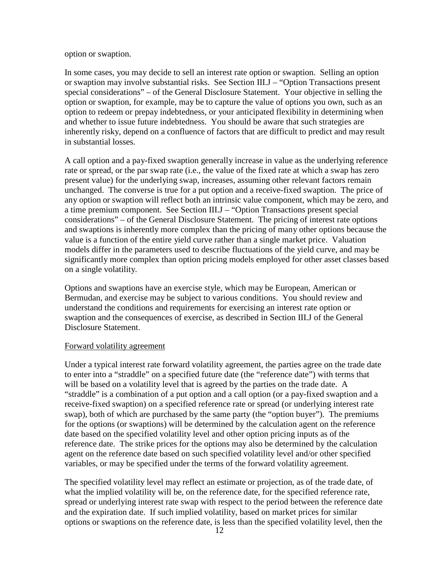option or swaption.

In some cases, you may decide to sell an interest rate option or swaption. Selling an option or swaption may involve substantial risks. See Section III.J – "Option Transactions present special considerations" – of the General Disclosure Statement. Your objective in selling the option or swaption, for example, may be to capture the value of options you own, such as an option to redeem or prepay indebtedness, or your anticipated flexibility in determining when and whether to issue future indebtedness. You should be aware that such strategies are inherently risky, depend on a confluence of factors that are difficult to predict and may result in substantial losses.

A call option and a pay-fixed swaption generally increase in value as the underlying reference rate or spread, or the par swap rate (i.e., the value of the fixed rate at which a swap has zero present value) for the underlying swap, increases, assuming other relevant factors remain unchanged. The converse is true for a put option and a receive-fixed swaption. The price of any option or swaption will reflect both an intrinsic value component, which may be zero, and a time premium component. See Section III.J – "Option Transactions present special considerations" – of the General Disclosure Statement. The pricing of interest rate options and swaptions is inherently more complex than the pricing of many other options because the value is a function of the entire yield curve rather than a single market price. Valuation models differ in the parameters used to describe fluctuations of the yield curve, and may be significantly more complex than option pricing models employed for other asset classes based on a single volatility.

Options and swaptions have an exercise style, which may be European, American or Bermudan, and exercise may be subject to various conditions. You should review and understand the conditions and requirements for exercising an interest rate option or swaption and the consequences of exercise, as described in Section III.J of the General Disclosure Statement.

## Forward volatility agreement

Under a typical interest rate forward volatility agreement, the parties agree on the trade date to enter into a "straddle" on a specified future date (the "reference date") with terms that will be based on a volatility level that is agreed by the parties on the trade date. A "straddle" is a combination of a put option and a call option (or a pay-fixed swaption and a receive-fixed swaption) on a specified reference rate or spread (or underlying interest rate swap), both of which are purchased by the same party (the "option buyer"). The premiums for the options (or swaptions) will be determined by the calculation agent on the reference date based on the specified volatility level and other option pricing inputs as of the reference date. The strike prices for the options may also be determined by the calculation agent on the reference date based on such specified volatility level and/or other specified variables, or may be specified under the terms of the forward volatility agreement.

The specified volatility level may reflect an estimate or projection, as of the trade date, of what the implied volatility will be, on the reference date, for the specified reference rate, spread or underlying interest rate swap with respect to the period between the reference date and the expiration date. If such implied volatility, based on market prices for similar options or swaptions on the reference date, is less than the specified volatility level, then the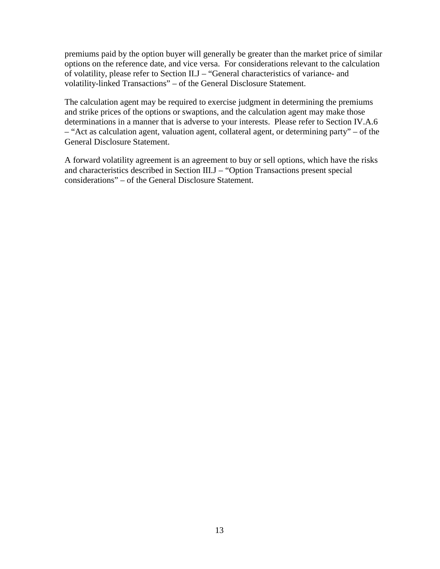premiums paid by the option buyer will generally be greater than the market price of similar options on the reference date, and vice versa. For considerations relevant to the calculation of volatility, please refer to Section II.J – "General characteristics of variance- and volatility-linked Transactions" – of the General Disclosure Statement.

The calculation agent may be required to exercise judgment in determining the premiums and strike prices of the options or swaptions, and the calculation agent may make those determinations in a manner that is adverse to your interests. Please refer to Section IV.A.6 – "Act as calculation agent, valuation agent, collateral agent, or determining party" – of the General Disclosure Statement.

A forward volatility agreement is an agreement to buy or sell options, which have the risks and characteristics described in Section III.J – "Option Transactions present special considerations" – of the General Disclosure Statement.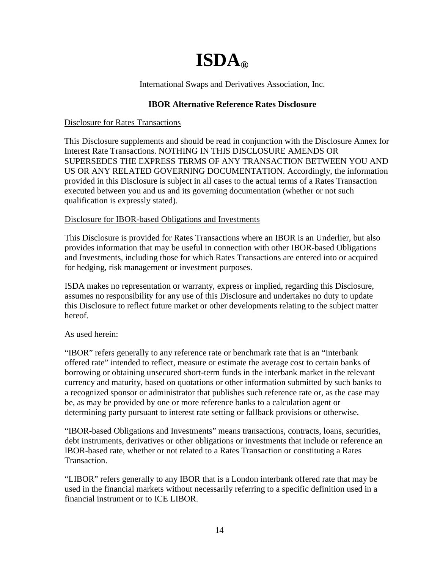## **ISDA®**

International Swaps and Derivatives Association, Inc.

## **IBOR Alternative Reference Rates Disclosure**

## Disclosure for Rates Transactions

This Disclosure supplements and should be read in conjunction with the Disclosure Annex for Interest Rate Transactions. NOTHING IN THIS DISCLOSURE AMENDS OR SUPERSEDES THE EXPRESS TERMS OF ANY TRANSACTION BETWEEN YOU AND US OR ANY RELATED GOVERNING DOCUMENTATION. Accordingly, the information provided in this Disclosure is subject in all cases to the actual terms of a Rates Transaction executed between you and us and its governing documentation (whether or not such qualification is expressly stated).

## Disclosure for IBOR-based Obligations and Investments

This Disclosure is provided for Rates Transactions where an IBOR is an Underlier, but also provides information that may be useful in connection with other IBOR-based Obligations and Investments, including those for which Rates Transactions are entered into or acquired for hedging, risk management or investment purposes.

ISDA makes no representation or warranty, express or implied, regarding this Disclosure, assumes no responsibility for any use of this Disclosure and undertakes no duty to update this Disclosure to reflect future market or other developments relating to the subject matter hereof.

## As used herein:

"IBOR" refers generally to any reference rate or benchmark rate that is an "interbank offered rate" intended to reflect, measure or estimate the average cost to certain banks of borrowing or obtaining unsecured short-term funds in the interbank market in the relevant currency and maturity, based on quotations or other information submitted by such banks to a recognized sponsor or administrator that publishes such reference rate or, as the case may be, as may be provided by one or more reference banks to a calculation agent or determining party pursuant to interest rate setting or fallback provisions or otherwise.

"IBOR-based Obligations and Investments" means transactions, contracts, loans, securities, debt instruments, derivatives or other obligations or investments that include or reference an IBOR-based rate, whether or not related to a Rates Transaction or constituting a Rates Transaction.

"LIBOR" refers generally to any IBOR that is a London interbank offered rate that may be used in the financial markets without necessarily referring to a specific definition used in a financial instrument or to ICE LIBOR.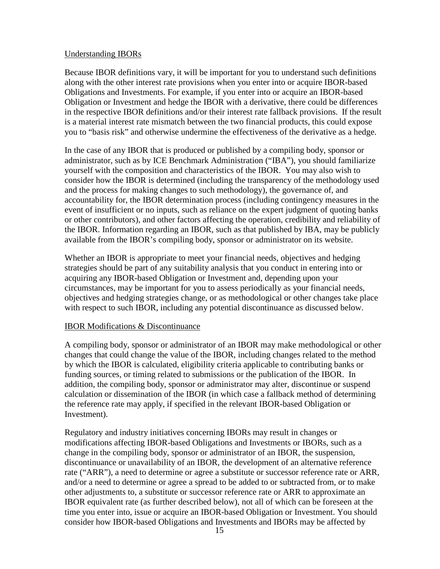## Understanding IBORs

Because IBOR definitions vary, it will be important for you to understand such definitions along with the other interest rate provisions when you enter into or acquire IBOR-based Obligations and Investments. For example, if you enter into or acquire an IBOR-based Obligation or Investment and hedge the IBOR with a derivative, there could be differences in the respective IBOR definitions and/or their interest rate fallback provisions. If the result is a material interest rate mismatch between the two financial products, this could expose you to "basis risk" and otherwise undermine the effectiveness of the derivative as a hedge.

In the case of any IBOR that is produced or published by a compiling body, sponsor or administrator, such as by ICE Benchmark Administration ("IBA"), you should familiarize yourself with the composition and characteristics of the IBOR. You may also wish to consider how the IBOR is determined (including the transparency of the methodology used and the process for making changes to such methodology), the governance of, and accountability for, the IBOR determination process (including contingency measures in the event of insufficient or no inputs, such as reliance on the expert judgment of quoting banks or other contributors), and other factors affecting the operation, credibility and reliability of the IBOR. Information regarding an IBOR, such as that published by IBA, may be publicly available from the IBOR's compiling body, sponsor or administrator on its website.

Whether an IBOR is appropriate to meet your financial needs, objectives and hedging strategies should be part of any suitability analysis that you conduct in entering into or acquiring any IBOR-based Obligation or Investment and, depending upon your circumstances, may be important for you to assess periodically as your financial needs, objectives and hedging strategies change, or as methodological or other changes take place with respect to such IBOR, including any potential discontinuance as discussed below.

## IBOR Modifications & Discontinuance

A compiling body, sponsor or administrator of an IBOR may make methodological or other changes that could change the value of the IBOR, including changes related to the method by which the IBOR is calculated, eligibility criteria applicable to contributing banks or funding sources, or timing related to submissions or the publication of the IBOR. In addition, the compiling body, sponsor or administrator may alter, discontinue or suspend calculation or dissemination of the IBOR (in which case a fallback method of determining the reference rate may apply, if specified in the relevant IBOR-based Obligation or Investment).

Regulatory and industry initiatives concerning IBORs may result in changes or modifications affecting IBOR-based Obligations and Investments or IBORs, such as a change in the compiling body, sponsor or administrator of an IBOR, the suspension, discontinuance or unavailability of an IBOR, the development of an alternative reference rate ("ARR"), a need to determine or agree a substitute or successor reference rate or ARR, and/or a need to determine or agree a spread to be added to or subtracted from, or to make other adjustments to, a substitute or successor reference rate or ARR to approximate an IBOR equivalent rate (as further described below), not all of which can be foreseen at the time you enter into, issue or acquire an IBOR-based Obligation or Investment. You should consider how IBOR-based Obligations and Investments and IBORs may be affected by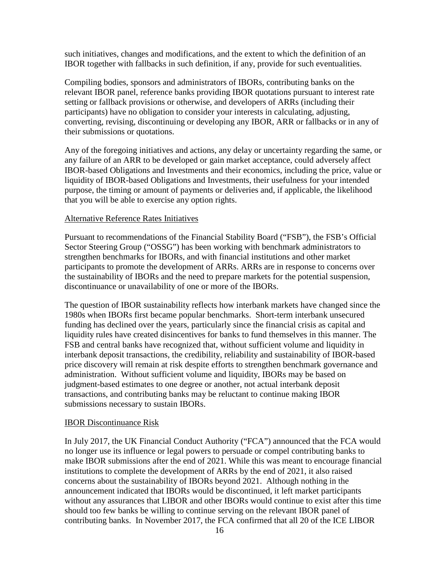such initiatives, changes and modifications, and the extent to which the definition of an IBOR together with fallbacks in such definition, if any, provide for such eventualities.

Compiling bodies, sponsors and administrators of IBORs, contributing banks on the relevant IBOR panel, reference banks providing IBOR quotations pursuant to interest rate setting or fallback provisions or otherwise, and developers of ARRs (including their participants) have no obligation to consider your interests in calculating, adjusting, converting, revising, discontinuing or developing any IBOR, ARR or fallbacks or in any of their submissions or quotations.

Any of the foregoing initiatives and actions, any delay or uncertainty regarding the same, or any failure of an ARR to be developed or gain market acceptance, could adversely affect IBOR-based Obligations and Investments and their economics, including the price, value or liquidity of IBOR-based Obligations and Investments, their usefulness for your intended purpose, the timing or amount of payments or deliveries and, if applicable, the likelihood that you will be able to exercise any option rights.

#### Alternative Reference Rates Initiatives

Pursuant to recommendations of the Financial Stability Board ("FSB"), the FSB's Official Sector Steering Group ("OSSG") has been working with benchmark administrators to strengthen benchmarks for IBORs, and with financial institutions and other market participants to promote the development of ARRs. ARRs are in response to concerns over the sustainability of IBORs and the need to prepare markets for the potential suspension, discontinuance or unavailability of one or more of the IBORs.

The question of IBOR sustainability reflects how interbank markets have changed since the 1980s when IBORs first became popular benchmarks. Short-term interbank unsecured funding has declined over the years, particularly since the financial crisis as capital and liquidity rules have created disincentives for banks to fund themselves in this manner. The FSB and central banks have recognized that, without sufficient volume and liquidity in interbank deposit transactions, the credibility, reliability and sustainability of IBOR-based price discovery will remain at risk despite efforts to strengthen benchmark governance and administration. Without sufficient volume and liquidity, IBORs may be based on judgment-based estimates to one degree or another, not actual interbank deposit transactions, and contributing banks may be reluctant to continue making IBOR submissions necessary to sustain IBORs.

#### IBOR Discontinuance Risk

In July 2017, the UK Financial Conduct Authority ("FCA") announced that the FCA would no longer use its influence or legal powers to persuade or compel contributing banks to make IBOR submissions after the end of 2021. While this was meant to encourage financial institutions to complete the development of ARRs by the end of 2021, it also raised concerns about the sustainability of IBORs beyond 2021. Although nothing in the announcement indicated that IBORs would be discontinued, it left market participants without any assurances that LIBOR and other IBORs would continue to exist after this time should too few banks be willing to continue serving on the relevant IBOR panel of contributing banks. In November 2017, the FCA confirmed that all 20 of the ICE LIBOR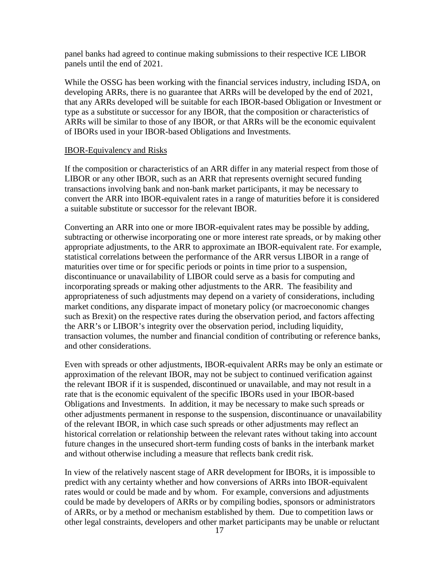panel banks had agreed to continue making submissions to their respective ICE LIBOR panels until the end of 2021.

While the OSSG has been working with the financial services industry, including ISDA, on developing ARRs, there is no guarantee that ARRs will be developed by the end of 2021, that any ARRs developed will be suitable for each IBOR-based Obligation or Investment or type as a substitute or successor for any IBOR, that the composition or characteristics of ARRs will be similar to those of any IBOR, or that ARRs will be the economic equivalent of IBORs used in your IBOR-based Obligations and Investments.

## IBOR-Equivalency and Risks

If the composition or characteristics of an ARR differ in any material respect from those of LIBOR or any other IBOR, such as an ARR that represents overnight secured funding transactions involving bank and non-bank market participants, it may be necessary to convert the ARR into IBOR-equivalent rates in a range of maturities before it is considered a suitable substitute or successor for the relevant IBOR.

Converting an ARR into one or more IBOR-equivalent rates may be possible by adding, subtracting or otherwise incorporating one or more interest rate spreads, or by making other appropriate adjustments, to the ARR to approximate an IBOR-equivalent rate. For example, statistical correlations between the performance of the ARR versus LIBOR in a range of maturities over time or for specific periods or points in time prior to a suspension, discontinuance or unavailability of LIBOR could serve as a basis for computing and incorporating spreads or making other adjustments to the ARR. The feasibility and appropriateness of such adjustments may depend on a variety of considerations, including market conditions, any disparate impact of monetary policy (or macroeconomic changes such as Brexit) on the respective rates during the observation period, and factors affecting the ARR's or LIBOR's integrity over the observation period, including liquidity, transaction volumes, the number and financial condition of contributing or reference banks, and other considerations.

Even with spreads or other adjustments, IBOR-equivalent ARRs may be only an estimate or approximation of the relevant IBOR, may not be subject to continued verification against the relevant IBOR if it is suspended, discontinued or unavailable, and may not result in a rate that is the economic equivalent of the specific IBORs used in your IBOR-based Obligations and Investments. In addition, it may be necessary to make such spreads or other adjustments permanent in response to the suspension, discontinuance or unavailability of the relevant IBOR, in which case such spreads or other adjustments may reflect an historical correlation or relationship between the relevant rates without taking into account future changes in the unsecured short-term funding costs of banks in the interbank market and without otherwise including a measure that reflects bank credit risk.

In view of the relatively nascent stage of ARR development for IBORs, it is impossible to predict with any certainty whether and how conversions of ARRs into IBOR-equivalent rates would or could be made and by whom. For example, conversions and adjustments could be made by developers of ARRs or by compiling bodies, sponsors or administrators of ARRs, or by a method or mechanism established by them. Due to competition laws or other legal constraints, developers and other market participants may be unable or reluctant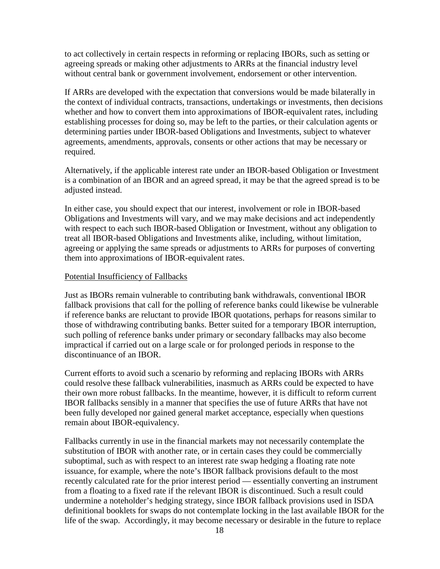to act collectively in certain respects in reforming or replacing IBORs, such as setting or agreeing spreads or making other adjustments to ARRs at the financial industry level without central bank or government involvement, endorsement or other intervention.

If ARRs are developed with the expectation that conversions would be made bilaterally in the context of individual contracts, transactions, undertakings or investments, then decisions whether and how to convert them into approximations of IBOR-equivalent rates, including establishing processes for doing so, may be left to the parties, or their calculation agents or determining parties under IBOR-based Obligations and Investments, subject to whatever agreements, amendments, approvals, consents or other actions that may be necessary or required.

Alternatively, if the applicable interest rate under an IBOR-based Obligation or Investment is a combination of an IBOR and an agreed spread, it may be that the agreed spread is to be adjusted instead.

In either case, you should expect that our interest, involvement or role in IBOR-based Obligations and Investments will vary, and we may make decisions and act independently with respect to each such IBOR-based Obligation or Investment, without any obligation to treat all IBOR-based Obligations and Investments alike, including, without limitation, agreeing or applying the same spreads or adjustments to ARRs for purposes of converting them into approximations of IBOR-equivalent rates.

## Potential Insufficiency of Fallbacks

Just as IBORs remain vulnerable to contributing bank withdrawals, conventional IBOR fallback provisions that call for the polling of reference banks could likewise be vulnerable if reference banks are reluctant to provide IBOR quotations, perhaps for reasons similar to those of withdrawing contributing banks. Better suited for a temporary IBOR interruption, such polling of reference banks under primary or secondary fallbacks may also become impractical if carried out on a large scale or for prolonged periods in response to the discontinuance of an IBOR.

Current efforts to avoid such a scenario by reforming and replacing IBORs with ARRs could resolve these fallback vulnerabilities, inasmuch as ARRs could be expected to have their own more robust fallbacks. In the meantime, however, it is difficult to reform current IBOR fallbacks sensibly in a manner that specifies the use of future ARRs that have not been fully developed nor gained general market acceptance, especially when questions remain about IBOR-equivalency.

Fallbacks currently in use in the financial markets may not necessarily contemplate the substitution of IBOR with another rate, or in certain cases they could be commercially suboptimal, such as with respect to an interest rate swap hedging a floating rate note issuance, for example, where the note's IBOR fallback provisions default to the most recently calculated rate for the prior interest period — essentially converting an instrument from a floating to a fixed rate if the relevant IBOR is discontinued. Such a result could undermine a noteholder's hedging strategy, since IBOR fallback provisions used in ISDA definitional booklets for swaps do not contemplate locking in the last available IBOR for the life of the swap. Accordingly, it may become necessary or desirable in the future to replace